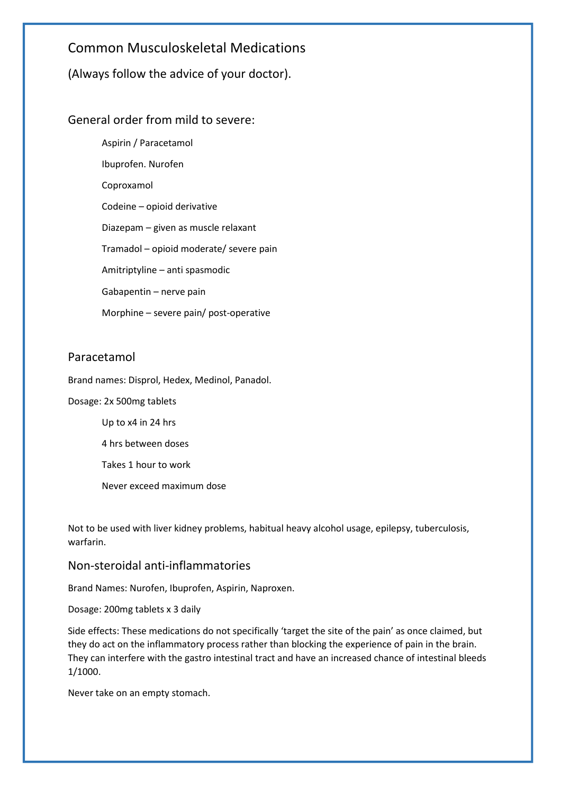# Common Musculoskeletal Medications

(Always follow the advice of your doctor).

# General order from mild to severe:

Aspirin / Paracetamol Ibuprofen. Nurofen Coproxamol Codeine – opioid derivative Diazepam – given as muscle relaxant Tramadol – opioid moderate/ severe pain Amitriptyline – anti spasmodic Gabapentin – nerve pain Morphine – severe pain/ post-operative

## Paracetamol

Brand names: Disprol, Hedex, Medinol, Panadol.

Dosage: 2x 500mg tablets

Up to x4 in 24 hrs

4 hrs between doses

Takes 1 hour to work

Never exceed maximum dose

Not to be used with liver kidney problems, habitual heavy alcohol usage, epilepsy, tuberculosis, warfarin.

### Non-steroidal anti-inflammatories

Brand Names: Nurofen, Ibuprofen, Aspirin, Naproxen.

Dosage: 200mg tablets x 3 daily

Side effects: These medications do not specifically 'target the site of the pain' as once claimed, but they do act on the inflammatory process rather than blocking the experience of pain in the brain. They can interfere with the gastro intestinal tract and have an increased chance of intestinal bleeds 1/1000.

Never take on an empty stomach.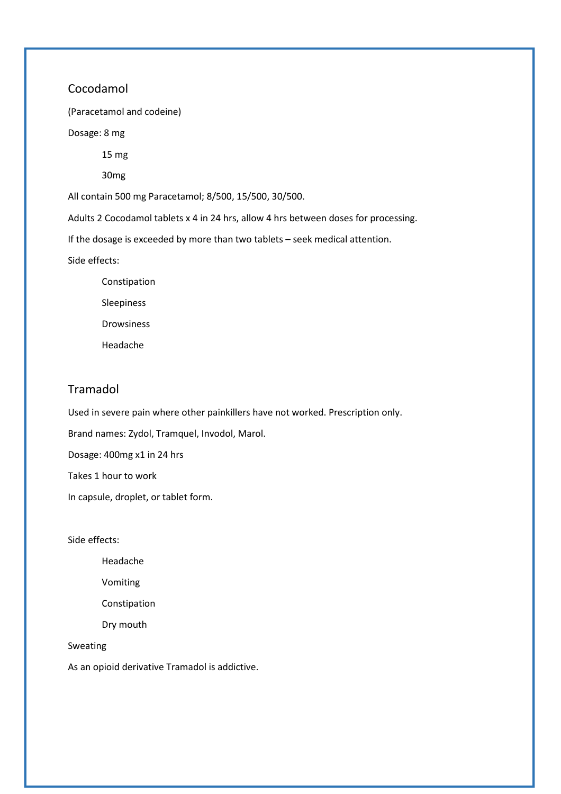### Cocodamol

(Paracetamol and codeine)

Dosage: 8 mg

15 mg

30mg

All contain 500 mg Paracetamol; 8/500, 15/500, 30/500.

Adults 2 Cocodamol tablets x 4 in 24 hrs, allow 4 hrs between doses for processing.

If the dosage is exceeded by more than two tablets – seek medical attention.

Side effects:

 Constipation Sleepiness Drowsiness Headache

### Tramadol

Used in severe pain where other painkillers have not worked. Prescription only.

Brand names: Zydol, Tramquel, Invodol, Marol.

Dosage: 400mg x1 in 24 hrs

Takes 1 hour to work

In capsule, droplet, or tablet form.

Side effects:

Headache

Vomiting

Constipation

Dry mouth

#### Sweating

As an opioid derivative Tramadol is addictive.